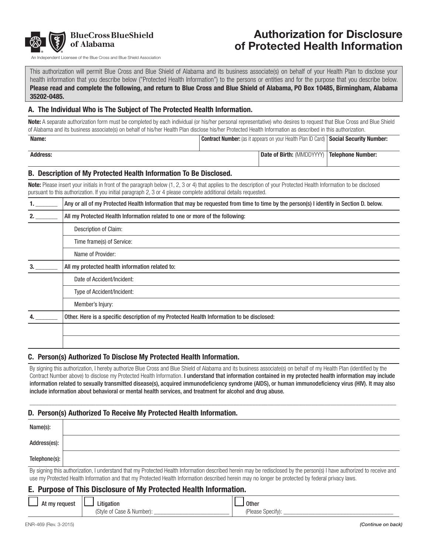

# Authorization for Disclosure of Protected Health Information

Andependent Licensee of the Blue Cross and Blue Shield Association

This authorization will permit Blue Cross and Blue Shield of Alabama and its business associate(s) on behalf of your Health Plan to disclose your health information that you describe below ("Protected Health Information") to the persons or entities and for the purpose that you describe below. Please read and complete the following, and return to Blue Cross and Blue Shield of Alabama, PO Box 10485, Birmingham, Alabama 35202-0485.

#### A. The Individual Who is The Subject of The Protected Health Information.

Note: A separate authorization form must be completed by each individual (or his/her personal representative) who desires to request that Blue Cross and Blue Shield of Alabama and its business associate(s) on behalf of his/her Health Plan disclose his/her Protected Health Information as described in this authorization.

| Name:           | <b>Contract Number:</b> (as it appears on your Health Plan ID Card)   Social Security Number: |                                                           |  |
|-----------------|-----------------------------------------------------------------------------------------------|-----------------------------------------------------------|--|
|                 |                                                                                               |                                                           |  |
| <b>Address:</b> |                                                                                               | <b>Date of Birth:</b> (MMDDYYYY) <b>Telephone Number:</b> |  |
|                 |                                                                                               |                                                           |  |

#### B. Description of My Protected Health Information To Be Disclosed.

Note: Please insert your initials in front of the paragraph below (1, 2, 3 or 4) that applies to the description of your Protected Health Information to be disclosed pursuant to this authorization. If you initial paragraph 2, 3 or 4 please complete additional details requested.

|    | Any or all of my Protected Health Information that may be requested from time to time by the person(s) I identify in Section D. below. |  |  |
|----|----------------------------------------------------------------------------------------------------------------------------------------|--|--|
| 2. | All my Protected Health Information related to one or more of the following:                                                           |  |  |
|    | Description of Claim:                                                                                                                  |  |  |
|    | Time frame(s) of Service:                                                                                                              |  |  |
|    | Name of Provider:                                                                                                                      |  |  |
|    | All my protected health information related to:                                                                                        |  |  |
|    | Date of Accident/Incident:                                                                                                             |  |  |
|    | Type of Accident/Incident:                                                                                                             |  |  |
|    | Member's Injury:                                                                                                                       |  |  |
|    | Other. Here is a specific description of my Protected Health Information to be disclosed:                                              |  |  |
|    |                                                                                                                                        |  |  |
|    |                                                                                                                                        |  |  |

#### C. Person(s) Authorized To Disclose My Protected Health Information.

By signing this authorization, I hereby authorize Blue Cross and Blue Shield of Alabama and its business associate(s) on behalf of my Health Plan (identified by the Contract Number above) to disclose my Protected Health Information. I understand that information contained in my protected health information may include information related to sexually transmitted disease(s), acquired immunodeficiency syndrome (AIDS), or human immunodeficiency virus (HIV). It may also include information about behavioral or mental health services, and treatment for alcohol and drug abuse.

 $\Box$ 

#### D. Person(s) Authorized To Receive My Protected Health Information.

| Name(s):      |                                                                                                                                                                        |
|---------------|------------------------------------------------------------------------------------------------------------------------------------------------------------------------|
| Address(es):  |                                                                                                                                                                        |
| Telephone(s): |                                                                                                                                                                        |
|               | By signing this authorization, I understand that my Protected Health Information described herein may be redisclosed by the person(s) I have authorized to receive and |

use my Protected Health Information and that my Protected Health Information described herein may no longer be protected by federal privacy laws.

## E. Purpose of This Disclosure of My Protected Health Information.

| At my request | .<br>.itigation           | <b>Other</b>      |
|---------------|---------------------------|-------------------|
|               | (Style of Case & Number): | (Please Specify): |